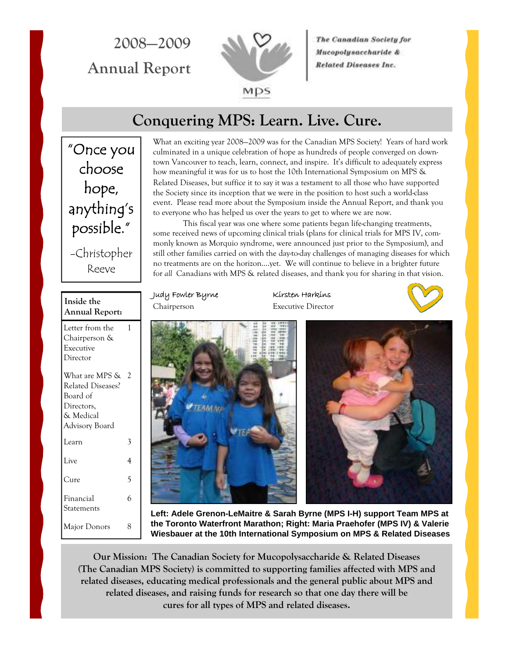**2008—2009 Annual Report** 



The Canadian Society for Mucopolysaccharide & **Related Diseases Inc.** 

## **Conquering MPS: Learn. Live. Cure.**

"Once you choose hope, anything's possible." -Christopher Reeve

What an exciting year 2008—2009 was for the Canadian MPS Society! Years of hard work culminated in a unique celebration of hope as hundreds of people converged on downtown Vancouver to teach, learn, connect, and inspire. It's difficult to adequately express how meaningful it was for us to host the 10th International Symposium on MPS & Related Diseases, but suffice it to say it was a testament to all those who have supported the Society since its inception that we were in the position to host such a world-class event. Please read more about the Symposium inside the Annual Report, and thank you to everyone who has helped us over the years to get to where we are now. This fiscal year was one where some patients began life-changing treatments,

some received news of upcoming clinical trials (plans for clinical trials for MPS IV, commonly known as Morquio syndrome, were announced just prior to the Symposium), and still other families carried on with the day-to-day challenges of managing diseases for which no treatments are on the horizon….yet. We will continue to believe in a brighter future for *all* Canadians with MPS & related diseases, and thank you for sharing in that vision.

#### **Inside the Annual Report:**

Letter from the Chairperson & Executive Director 1

| What are MPS &          | 2 |
|-------------------------|---|
| Related Diseases?       |   |
| Board of                |   |
| Directors,              |   |
| & Medical               |   |
| Advisory Board          |   |
| Learn                   | 3 |
| Live                    | 4 |
| Cure                    | 5 |
| Financial<br>Statements | 6 |
| Major Donors            |   |

Judy Fowler Byrne Kirsten Harkins Chairperson Executive Director





**Left: Adele Grenon-LeMaitre & Sarah Byrne (MPS I-H) support Team MPS at the Toronto Waterfront Marathon; Right: Maria Praehofer (MPS IV) & Valerie Wiesbauer at the 10th International Symposium on MPS & Related Diseases** 

**Our Mission: The Canadian Society for Mucopolysaccharide & Related Diseases (The Canadian MPS Society) is committed to supporting families affected with MPS and related diseases, educating medical professionals and the general public about MPS and related diseases, and raising funds for research so that one day there will be cures for all types of MPS and related diseases.**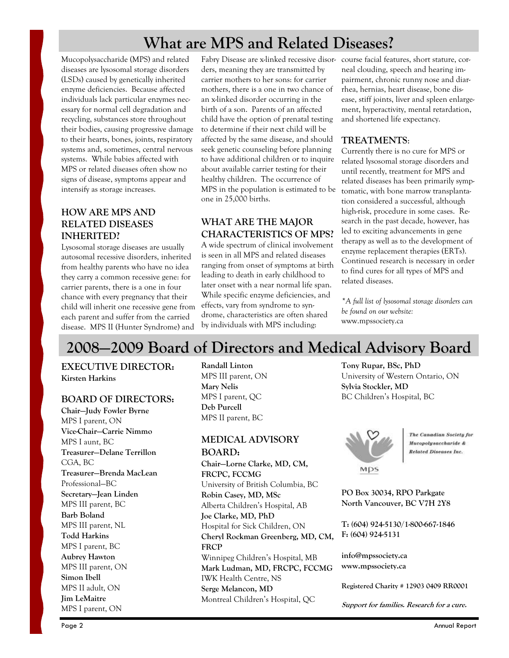# **What are MPS and Related Diseases?**

Mucopolysaccharide (MPS) and related diseases are lysosomal storage disorders (LSDs) caused by genetically inherited enzyme deficiencies. Because affected individuals lack particular enzymes necessary for normal cell degradation and recycling, substances store throughout their bodies, causing progressive damage to their hearts, bones, joints, respiratory systems and, sometimes, central nervous systems. While babies affected with MPS or related diseases often show no signs of disease, symptoms appear and intensify as storage increases.

### **HOW ARE MPS AND RELATED DISEASES INHERITED?**

Lysosomal storage diseases are usually autosomal recessive disorders, inherited from healthy parents who have no idea they carry a common recessive gene: for carrier parents, there is a one in four chance with every pregnancy that their child will inherit one recessive gene from each parent and suffer from the carried disease. MPS II (Hunter Syndrome) and

Fabry Disease are x-linked recessive disor-course facial features, short stature, corders, meaning they are transmitted by carrier mothers to her sons: for carrier mothers, there is a one in two chance of an x-linked disorder occurring in the birth of a son. Parents of an affected child have the option of prenatal testing to determine if their next child will be affected by the same disease, and should seek genetic counseling before planning to have additional children or to inquire about available carrier testing for their healthy children. The occurrence of MPS in the population is estimated to be one in 25,000 births.

## **WHAT ARE THE MAJOR CHARACTERISTICS OF MPS?**

A wide spectrum of clinical involvement is seen in all MPS and related diseases ranging from onset of symptoms at birth leading to death in early childhood to later onset with a near normal life span. While specific enzyme deficiencies, and effects, vary from syndrome to syndrome, characteristics are often shared by individuals with MPS including:

neal clouding, speech and hearing impairment, chronic runny nose and diarrhea, hernias, heart disease, bone disease, stiff joints, liver and spleen enlargement, hyperactivity, mental retardation, and shortened life expectancy.

### **TREATMENTS**:

Currently there is no cure for MPS or related lysosomal storage disorders and until recently, treatment for MPS and related diseases has been primarily symptomatic, with bone marrow transplantation considered a successful, although high-risk, procedure in some cases. Research in the past decade, however, has led to exciting advancements in gene therapy as well as to the development of enzyme replacement therapies (ERTs). Continued research is necessary in order to find cures for all types of MPS and related diseases.

*\*A full list of lysosomal storage disorders can be found on our website:*  www.mpssociety.ca

# **2008—2009 Board of Directors and Medical Advisory Board**

**EXECUTIVE DIRECTOR: Kirsten Harkins** 

### **BOARD OF DIRECTORS:**

**Chair—Judy Fowler Byrne**  MPS I parent, ON **Vice-Chair—Carrie Nimmo**  MPS I aunt, BC **Treasurer—Delane Terrillon**  CGA, BC **Treasurer—Brenda MacLean**  Professional—BC **Secretary—Jean Linden**  MPS III parent, BC **Barb Boland**  MPS III parent, NL **Todd Harkins**  MPS I parent, BC **Aubrey Hawton**  MPS III parent, ON **Simon Ibell**  MPS II adult, ON **Jim LeMaitre**  MPS I parent, ON

**Randall Linton**  MPS III parent, ON **Mary Nelis**  MPS I parent, QC **Deb Purcell**  MPS II parent, BC

### **MEDICAL ADVISORY BOARD:**

**Chair—Lorne Clarke, MD, CM, FRCPC, FCCMG**  University of British Columbia, BC **Robin Casey, MD, MSc**  Alberta Children's Hospital, AB **Joe Clarke, MD, PhD**  Hospital for Sick Children, ON **Cheryl Rockman Greenberg, MD, CM, FRCP**  Winnipeg Children's Hospital, MB **Mark Ludman, MD, FRCPC, FCCMG**  IWK Health Centre, NS **Serge Melancon, MD**  Montreal Children's Hospital, QC

**Tony Rupar, BSc, PhD**  University of Western Ontario, ON **Sylvia Stockler, MD**  BC Children's Hospital, BC



The Canadian Society for Mucopolysaccharide & **Related Diseases Inc.** 

**PO Box 30034, RPO Parkgate North Vancouver, BC V7H 2Y8** 

**T: (604) 924-5130/1-800-667-1846 F: (604) 924-5131** 

**info@mpssociety.ca www.mpssociety.ca** 

**Registered Charity # 12903 0409 RR0001** 

**Support for families. Research for a cure.**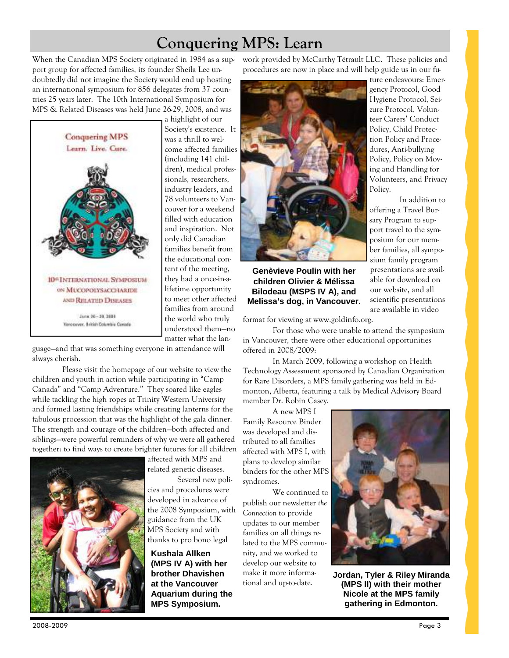## **Conquering MPS: Learn**

When the Canadian MPS Society originated in 1984 as a support group for affected families, its founder Sheila Lee undoubtedly did not imagine the Society would end up hosting an international symposium for 856 delegates from 37 countries 25 years later. The 10th International Symposium for MPS & Related Diseases was held June 26-29, 2008, and was



a highlight of our Society's existence. It was a thrill to welcome affected families (including 141 children), medical professionals, researchers, industry leaders, and 78 volunteers to Vancouver for a weekend filled with education and inspiration. Not only did Canadian families benefit from the educational content of the meeting, they had a once-in-alifetime opportunity to meet other affected families from around the world who truly understood them—no matter what the lan-

guage—and that was something everyone in attendance will always cherish.

 Please visit the homepage of our website to view the children and youth in action while participating in "Camp Canada" and "Camp Adventure." They soared like eagles while tackling the high ropes at Trinity Western University and formed lasting friendships while creating lanterns for the fabulous procession that was the highlight of the gala dinner. The strength and courage of the children—both affected and siblings—were powerful reminders of why we were all gathered together: to find ways to create brighter futures for all children



affected with MPS and related genetic diseases.

 Several new policies and procedures were developed in advance of

the 2008 Symposium, with guidance from the UK MPS Society and with thanks to pro bono legal

**Kushala Allken (MPS IV A) with her brother Dhavishen at the Vancouver Aquarium during the MPS Symposium.** 

work provided by McCarthy Tétrault LLC. These policies and procedures are now in place and will help guide us in our fu-



**Genèvieve Poulin with her children Olivier & Mélissa Bilodeau (MSPS IV A), and Melissa's dog, in Vancouver.** 

format for viewing at www.goldinfo.org.

 For those who were unable to attend the symposium in Vancouver, there were other educational opportunities offered in 2008/2009:

 In March 2009, following a workshop on Health Technology Assessment sponsored by Canadian Organization for Rare Disorders, a MPS family gathering was held in Edmonton, Alberta, featuring a talk by Medical Advisory Board member Dr. Robin Casey.

A new MPS I

Family Resource Binder was developed and distributed to all families affected with MPS I, with plans to develop similar binders for the other MPS syndromes.

 We continued to publish our newsletter *the Connection* to provide updates to our member families on all things related to the MPS community, and we worked to develop our website to make it more informational and up-to-date.



In addition to

able for download on our website, and all scientific presentations are available in video

**Jordan, Tyler & Riley Miranda (MPS II) with their mother Nicole at the MPS family gathering in Edmonton.** 

2008-2009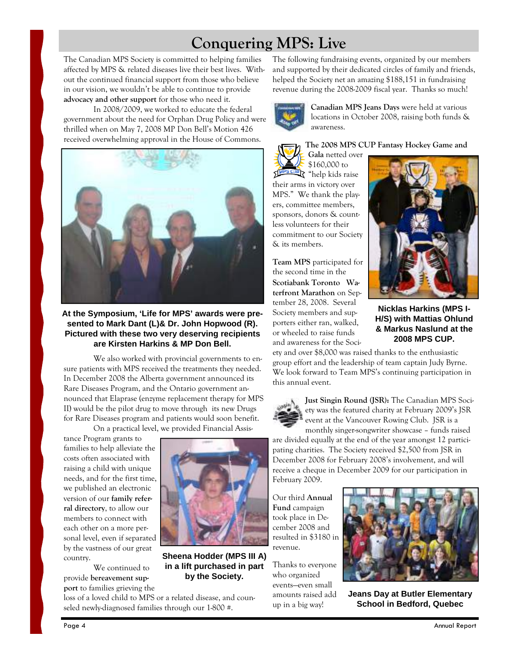# **Conquering MPS: Live**

The Canadian MPS Society is committed to helping families affected by MPS & related diseases live their best lives. Without the continued financial support from those who believe in our vision, we wouldn't be able to continue to provide **advocacy and other support** for those who need it.

 In 2008/2009, we worked to educate the federal government about the need for Orphan Drug Policy and were thrilled when on May 7, 2008 MP Don Bell's Motion 426 received overwhelming approval in the House of Commons.



**At the Symposium, 'Life for MPS' awards were presented to Mark Dant (L)& Dr. John Hopwood (R). Pictured with these two very deserving recipients are Kirsten Harkins & MP Don Bell.** 

We also worked with provincial governments to ensure patients with MPS received the treatments they needed. In December 2008 the Alberta government announced its Rare Diseases Program, and the Ontario government announced that Elaprase (enzyme replacement therapy for MPS II) would be the pilot drug to move through its new Drugs for Rare Diseases program and patients would soon benefit.

On a practical level, we provided Financial Assis-

tance Program grants to families to help alleviate the costs often associated with raising a child with unique needs, and for the first time, we published an electronic version of our **family referral directory**, to allow our members to connect with each other on a more personal level, even if separated by the vastness of our great country.

 We continued to provide **bereavement support** to families grieving the



**Sheena Hodder (MPS III A) in a lift purchased in part by the Society.** 

loss of a loved child to MPS or a related disease, and counseled newly-diagnosed families through our 1-800 #.

The following fundraising events, organized by our members and supported by their dedicated circles of family and friends, helped the Society net an amazing \$188,151 in fundraising revenue during the 2008-2009 fiscal year. Thanks so much!



**Canadian MPS Jeans Days** were held at various locations in October 2008, raising both funds & awareness.

#### **The 2008 MPS CUP Fantasy Hockey Game and**

 $\frac{1}{2}$  "help kids raise" their arms in victory over MPS." We thank the players, committee members, sponsors, donors & countless volunteers for their commitment to our Society & its members.

**Gala** netted over \$160,000 to

**Team MPS** participated for the second time in the **Scotiabank Toronto Waterfront Marathon** on September 28, 2008.Several Society members and supporters either ran, walked, or wheeled to raise funds and awareness for the Soci-



**Nicklas Harkins (MPS I-H/S) with Mattias Ohlund & Markus Naslund at the 2008 MPS CUP.** 

ety and over \$8,000 was raised thanks to the enthusiastic group effort and the leadership of team captain Judy Byrne. We look forward to Team MPS's continuing participation in this annual event.



**Just Singin Round (JSR):** The Canadian MPS Society was the featured charity at February 2009's JSR event at the Vancouver Rowing Club. JSR is a

monthly singer-songwriter showcase – funds raised are divided equally at the end of the year amongst 12 participating charities. The Society received \$2,500 from JSR in December 2008 for February 2008's involvement, and will receive a cheque in December 2009 for our participation in February 2009.

Our third **Annual Fund** campaign took place in December 2008 and resulted in \$3180 in revenue.

Thanks to everyone who organized events—even small amounts raised add up in a big way!



**Jeans Day at Butler Elementary School in Bedford, Quebec**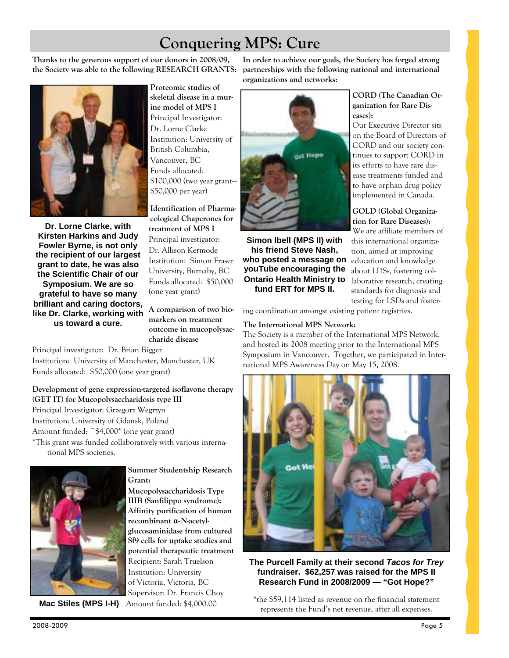# **Conquering MPS: Cure**

**Thanks to the generous support of our donors in 2008/09, the Society was able to the following RESEARCH GRANTS:** 



**Dr. Lorne Clarke, with Kirsten Harkins and Judy Fowler Byrne, is not only the recipient of our largest grant to date, he was also the Scientific Chair of our Symposium. We are so grateful to have so many brilliant and caring doctors, like Dr. Clarke, working with us toward a cure.** 

**Proteomic studies of skeletal disease in a murine model of MPS I**  Principal Investigator: Dr. Lorne Clarke Institution: University of British Columbia, Vancouver, BC Funds allocated: \$100,000 (two year grant— \$50,000 per year)

**Identification of Pharmacological Chaperones for treatment of MPS I**  Principal investigator: Dr. Allison Kermode Institution: Simon Fraser University, Burnaby, BC Funds allocated: \$50,000 (one year grant)

**A comparison of two biomarkers on treatment outcome in mucopolysaccharide disease** 

**Summer Studentship Research** 

**Mucopolysaccharidosis Type IIIB (Sanfilippo syndrome): Affinity purification of human recombinant α-N-acetylglucosaminidase from cultured Sf9 cells for uptake studies and potential therapeutic treatment**  Recipient: Sarah Truelson Institution: University of Victoria, Victoria, BC Supervisor: Dr. Francis Choy

Principal investigator: Dr. Brian Bigger Institution: University of Manchester, Manchester, UK Funds allocated: \$50,000 (one year grant)

**Development of gene expression-targeted isoflavone therapy (GET IT) for Mucopolysaccharidosis type III**  Principal Investigator: Grzegorz Wegrzyn Institution: University of Gdansk, Poland Amount funded: ~\$4,000\* (one year grant) \*This grant was funded collaboratively with various international MPS societies.

**Grant:** 



 **Mac Stiles (MPS I-H)** Amount funded: \$4,000.00

#### **In order to achieve our goals, the Society has forged strong partnerships with the following national and international organizations and networks:**



**Simon Ibell (MPS II) with his friend Steve Nash, who posted a message on youTube encouraging the Ontario Health Ministry to fund ERT for MPS II.** 

**CORD (The Canadian Organization for Rare Diseases):**

Our Executive Director sits on the Board of Directors of CORD and our society continues to support CORD in its efforts to have rare disease treatments funded and to have orphan drug policy implemented in Canada.

#### **GOLD (Global Organization for Rare Diseases):**

We are affiliate members of this international organization, aimed at improving education and knowledge about LDSs, fostering collaborative research, creating standards for diagnosis and testing for LSDs and foster-

ing coordination amongst existing patient registries.

### **The International MPS Network:**

The Society is a member of the International MPS Network, and hosted its 2008 meeting prior to the International MPS Symposium in Vancouver. Together, we participated in International MPS Awareness Day on May 15, 2008.



#### **The Purcell Family at their second Tacos for Trey fundraiser. \$62,257 was raised for the MPS II Research Fund in 2008/2009 — "Got Hope?"**

**\***the \$59,114 listed as revenue on the financial statement represents the Fund's net revenue, after all expenses.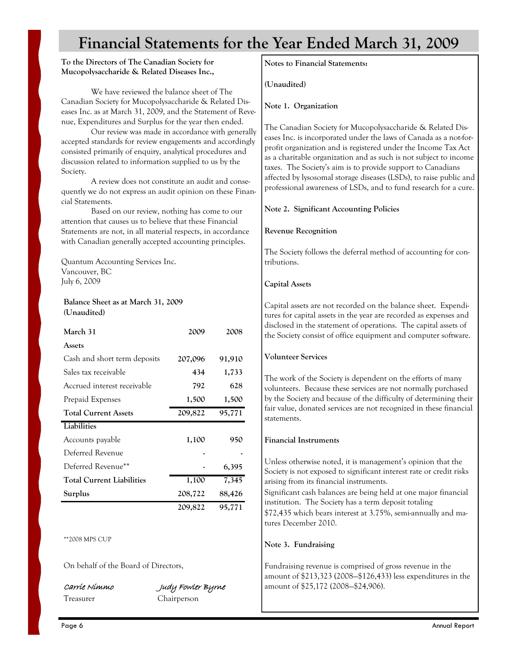# **Financial Statements for the Year Ended March 31, 2009**

#### **To the Directors of The Canadian Society for Mucopolysaccharide & Related Diseases Inc.,**

 We have reviewed the balance sheet of The Canadian Society for Mucopolysaccharide & Related Diseases Inc. as at March 31, 2009, and the Statement of Revenue, Expenditures and Surplus for the year then ended.

 Our review was made in accordance with generally accepted standards for review engagements and accordingly consisted primarily of enquiry, analytical procedures and discussion related to information supplied to us by the Society.

 A review does not constitute an audit and consequently we do not express an audit opinion on these Financial Statements.

 Based on our review, nothing has come to our attention that causes us to believe that these Financial Statements are not, in all material respects, in accordance with Canadian generally accepted accounting principles.

Quantum Accounting Services Inc. Vancouver, BC July 6, 2009

### **Balance Sheet as at March 31, 2009 (Unaudited)**

| March 31                         | 2009    | 2008   |
|----------------------------------|---------|--------|
| Assets                           |         |        |
| Cash and short term deposits     | 207,096 | 91,910 |
| Sales tax receivable             | 434     | 1,733  |
| Accrued interest receivable      | 792     | 628    |
| Prepaid Expenses                 | 1,500   | 1,500  |
| <b>Total Current Assets</b>      | 209,822 | 95,771 |
| Liabilities                      |         |        |
| Accounts payable                 | 1,100   | 950    |
| Deferred Revenue                 |         |        |
| Deferred Revenue**               |         | 6,395  |
|                                  |         |        |
| <b>Total Current Liabilities</b> | 1,100   | 7,345  |
| Surplus                          | 208,722 | 88,426 |

#### \*\*2008 MPS CUP

On behalf of the Board of Directors,

Carrie NimmoJudy Fowler Byrne Treasurer Chairperson

**Notes to Financial Statements:** 

**(Unaudited)** 

**Note 1. Organization** 

The Canadian Society for Mucopolysaccharide & Related Diseases Inc. is incorporated under the laws of Canada as a not-forprofit organization and is registered under the Income Tax Act as a charitable organization and as such is not subject to income taxes. The Society's aim is to provide support to Canadians affected by lysosomal storage diseases (LSDs), to raise public and professional awareness of LSDs, and to fund research for a cure.

### **Note 2. Significant Accounting Policies**

### **Revenue Recognition**

The Society follows the deferral method of accounting for contributions.

### **Capital Assets**

Capital assets are not recorded on the balance sheet. Expenditures for capital assets in the year are recorded as expenses and disclosed in the statement of operations. The capital assets of the Society consist of office equipment and computer software.

### **Volunteer Services**

The work of the Society is dependent on the efforts of many volunteers. Because these services are not normally purchased by the Society and because of the difficulty of determining their fair value, donated services are not recognized in these financial statements.

### **Financial Instruments**

Unless otherwise noted, it is management's opinion that the Society is not exposed to significant interest rate or credit risks arising from its financial instruments.

Significant cash balances are being held at one major financial institution. The Society has a term deposit totaling

\$72,435 which bears interest at 3.75%, semi-annually and matures December 2010.

### **Note 3. Fundraising**

Fundraising revenue is comprised of gross revenue in the amount of \$213,323 (2008—\$126,433) less expenditures in the amount of \$25,172 (2008—\$24,906).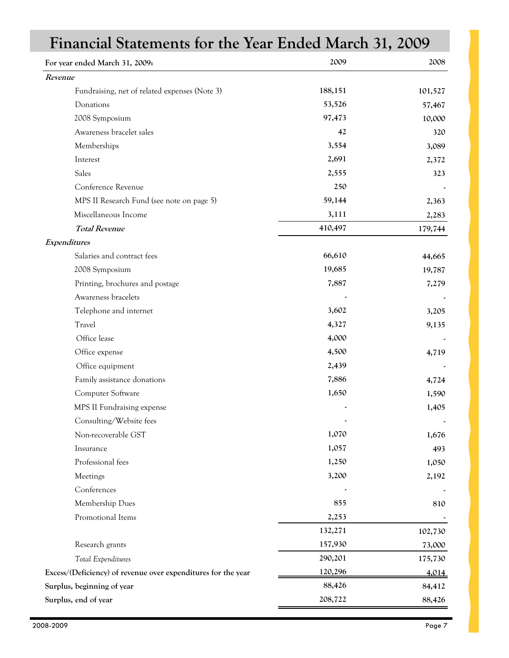| Financial Statements for the Year Ended March 31, 2009        |         |         |
|---------------------------------------------------------------|---------|---------|
| For year ended March 31, 2009:                                | 2009    | 2008    |
| Revenue                                                       |         |         |
| Fundraising, net of related expenses (Note 3)                 | 188,151 | 101,527 |
| Donations                                                     | 53,526  | 57,467  |
| 2008 Symposium                                                | 97,473  | 10,000  |
| Awareness bracelet sales                                      | 42      | 320     |
| Memberships                                                   | 3,554   | 3,089   |
| Interest                                                      | 2,691   | 2,372   |
| Sales                                                         | 2,555   | 323     |
| Conference Revenue                                            | 250     |         |
| MPS II Research Fund (see note on page 5)                     | 59,144  | 2,363   |
| Miscellaneous Income                                          | 3,111   | 2,283   |
| <b>Total Revenue</b>                                          | 410,497 | 179,744 |
| Expenditures                                                  |         |         |
| Salaries and contract fees                                    | 66,610  | 44,665  |
| 2008 Symposium                                                | 19,685  | 19,787  |
| Printing, brochures and postage                               | 7,887   | 7,279   |
| Awareness bracelets                                           |         |         |
| Telephone and internet                                        | 3,602   | 3,205   |
| Travel                                                        | 4,327   | 9,135   |
| Office lease                                                  | 4,000   |         |
| Office expense                                                | 4,500   | 4,719   |
| Office equipment                                              | 2,439   |         |
| Family assistance donations                                   | 7,886   | 4,724   |
| Computer Software                                             | 1,650   | 1,590   |
| MPS II Fundraising expense                                    |         | 1,405   |
| Consulting/Website fees                                       |         |         |
| Non-recoverable GST                                           | 1,070   | 1,676   |
| Insurance                                                     | 1,057   | 493     |
| Professional fees                                             | 1,250   | 1,050   |
| Meetings                                                      | 3,200   | 2,192   |
| Conferences                                                   |         |         |
| Membership Dues                                               | 855     | 810     |
| Promotional Items                                             | 2,253   |         |
|                                                               | 132,271 | 102,730 |
| Research grants                                               | 157,930 | 73,000  |
| Total Expenditures                                            | 290,201 | 175,730 |
| Excess/(Deficiency) of revenue over expenditures for the year | 120,296 | 4,014   |
| Surplus, beginning of year                                    | 88,426  | 84,412  |
| Surplus, end of year                                          | 208,722 | 88,426  |